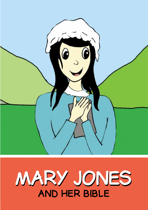

# **and her bible MARARY JONENES**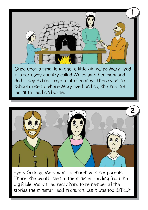

in a far away country called Wales with her mom and dad. They did not have a lot of money. There was no school close to where Mary lived and so, she had not learnt to read and write.



Every Sunday, Mary went to church with her parents. There, she would listen to the minister reading from the big Bible. Mary tried really hard to remember all the stories the minister read in church, but it was too difficult.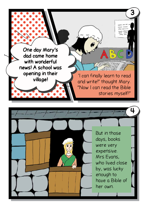

But in those days, books were very expensive. Mrs Evans, who lived close by, was lucky enough to have a Bible of her own.

**4**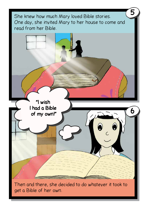She knew how much Mary loved Bible stories. One day, she invited Mary to her house to come and read from her Bible.

**5**



Then and there, she decided to do whatever it took to get a Bible of her own.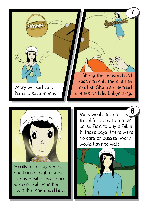



Finally, after six years, she had enough money to buy a Bible. But there were no Bibles in her town that she could buy.

Mary would have to travel far away to a town called Bala to buy a Bible. In those days, there were no cars or busses, Mary would have to walk. **8**

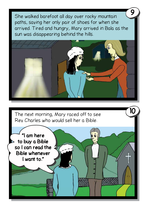She walked barefoot all day over rocky mountain paths, saving her only pair of shoes for when she arrived. Tired and hungry, Mary arrived in Bala as the sun was disappearing behind the hills.

**9**

**10**



The next morning, Mary raced off to see Rev Charles who would sell her a Bible.

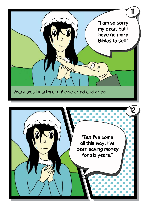

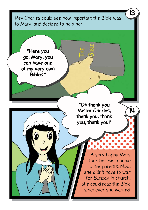Rev Charles could see how important the Bible was to Mary, and decided to help her.

**13**

A very happy Mary took her Bible home to her parents. Now, she didn't have to wait for Sunday in church, she could read the Bible whenever she wanted. **"Oh thank you Mister Charles, thank you, thank you, thank you!" "Here you go, Mary, you can have one of my very own Bibles." 14**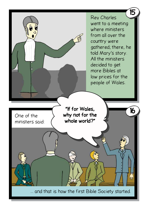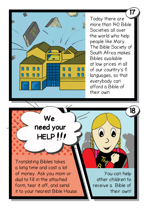Today there are more than 140 Bible Societies all over the world who help people like Mary. The Bible Society of South Africa makes Bibles available at low prices in all **DD** of our country's 11 QD languages, so that everybody can afford a Bible of their own.

**17**

**18**

**We need your HELP**

о

Π

N

n

Π

N

'N

**NN** 

П R

Translating Bibles takes a long time and cost a lot of money. Ask you mom or dad to fill in the attached form, tear it off, and send it to your nearest Bible House.

**But I've comment**<br>But I've comment **butler** cruitarent **beceive a Diple Of for six years** of the six years of the six years of the six years of the six years of the six years of the six years of the six years of the six years of the six years of the six years of the six years of the six years of You can help other children to receive a Bible of their own!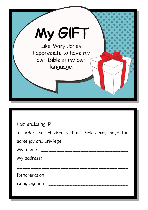

| in order that children without Bibles may have the |
|----------------------------------------------------|
| same joy and privilege.                            |
|                                                    |
|                                                    |
|                                                    |
| Denomination: _____________________________        |
|                                                    |
|                                                    |